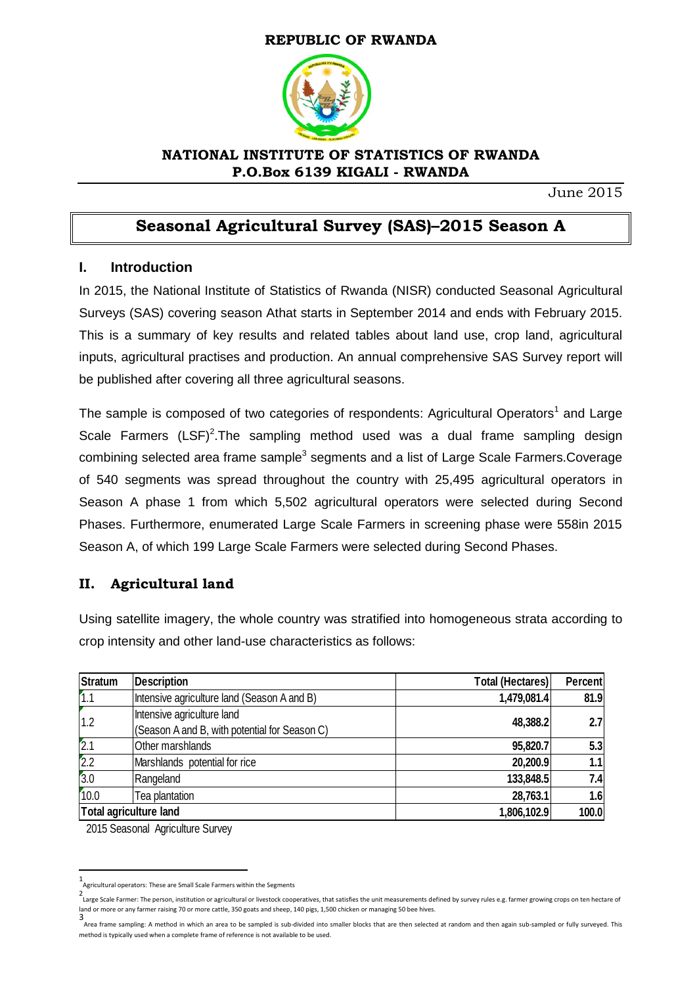## **REPUBLIC OF RWANDA**



## **NATIONAL INSTITUTE OF STATISTICS OF RWANDA P.O.Box 6139 KIGALI - RWANDA**

June 2015

# **Seasonal Agricultural Survey (SAS)–2015 Season A**

# **I. Introduction**

In 2015, the National Institute of Statistics of Rwanda (NISR) conducted Seasonal Agricultural Surveys (SAS) covering season Athat starts in September 2014 and ends with February 2015. This is a summary of key results and related tables about land use, crop land, agricultural inputs, agricultural practises and production. An annual comprehensive SAS Survey report will be published after covering all three agricultural seasons.

The sample is composed of two categories of respondents: Agricultural Operators<sup>1</sup> and Large Scale Farmers  $(LSF)^2$ . The sampling method used was a dual frame sampling design combining selected area frame sample<sup>3</sup> segments and a list of Large Scale Farmers.Coverage of 540 segments was spread throughout the country with 25,495 agricultural operators in Season A phase 1 from which 5,502 agricultural operators were selected during Second Phases. Furthermore, enumerated Large Scale Farmers in screening phase were 558in 2015 Season A, of which 199 Large Scale Farmers were selected during Second Phases.

# **II. Agricultural land**

Using satellite imagery, the whole country was stratified into homogeneous strata according to crop intensity and other land-use characteristics as follows:

| Stratum | <b>Description</b>                                                          | <b>Total (Hectares)</b> | Percent |
|---------|-----------------------------------------------------------------------------|-------------------------|---------|
| 1.1     | Intensive agriculture land (Season A and B)                                 | 1,479,081.4             | 81.9    |
| 1.2     | Intensive agriculture land<br>(Season A and B, with potential for Season C) | 48,388.2                | 2.7     |
| 2.1     | Other marshlands                                                            | 95,820.7                | 5.3     |
| 2.2     | Marshlands potential for rice                                               | 20,200.9                | 1.1     |
| 3.0     | Rangeland                                                                   | 133,848.5               | 7.4     |
| 10.0    | Tea plantation                                                              | 28,763.1                | 1.6     |
|         | Total agriculture land                                                      | 1,806,102.9             | 100.0   |

2015 Seasonal Agriculture Survey

 $\overline{\phantom{a}}$ 

<sup>1</sup> Agricultural operators: These are Small Scale Farmers within the Segments

<sup>2</sup> Large Scale Farmer: The person, institution or agricultural or livestock cooperatives, that satisfies the unit measurements defined by survey rules e.g. farmer growing crops on ten hectare of land or more or any farmer raising 70 or more cattle, 350 goats and sheep, 140 pigs, 1,500 chicken or managing 50 bee hives.

<sup>3</sup> Area frame sampling: A method in which an area to be sampled is sub-divided into smaller blocks that are then selected at random and then again sub-sampled or fully surveyed. This method is typically used when a complete frame of reference is not available to be used.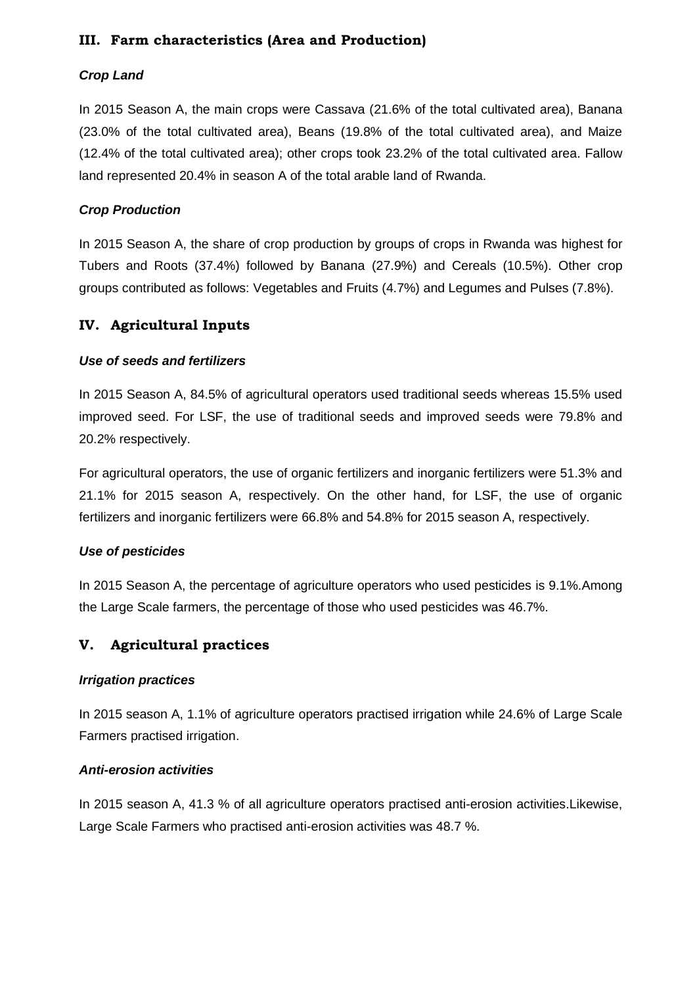# **III. Farm characteristics (Area and Production)**

# *Crop Land*

In 2015 Season A, the main crops were Cassava (21.6% of the total cultivated area), Banana (23.0% of the total cultivated area), Beans (19.8% of the total cultivated area), and Maize (12.4% of the total cultivated area); other crops took 23.2% of the total cultivated area. Fallow land represented 20.4% in season A of the total arable land of Rwanda.

## *Crop Production*

In 2015 Season A, the share of crop production by groups of crops in Rwanda was highest for Tubers and Roots (37.4%) followed by Banana (27.9%) and Cereals (10.5%). Other crop groups contributed as follows: Vegetables and Fruits (4.7%) and Legumes and Pulses (7.8%).

# **IV. Agricultural Inputs**

## *Use of seeds and fertilizers*

In 2015 Season A, 84.5% of agricultural operators used traditional seeds whereas 15.5% used improved seed. For LSF, the use of traditional seeds and improved seeds were 79.8% and 20.2% respectively.

For agricultural operators, the use of organic fertilizers and inorganic fertilizers were 51.3% and 21.1% for 2015 season A, respectively. On the other hand, for LSF, the use of organic fertilizers and inorganic fertilizers were 66.8% and 54.8% for 2015 season A, respectively.

## *Use of pesticides*

In 2015 Season A, the percentage of agriculture operators who used pesticides is 9.1%.Among the Large Scale farmers, the percentage of those who used pesticides was 46.7%.

# **V. Agricultural practices**

## *Irrigation practices*

In 2015 season A, 1.1% of agriculture operators practised irrigation while 24.6% of Large Scale Farmers practised irrigation.

## *Anti-erosion activities*

In 2015 season A, 41.3 % of all agriculture operators practised anti-erosion activities.Likewise, Large Scale Farmers who practised anti-erosion activities was 48.7 %.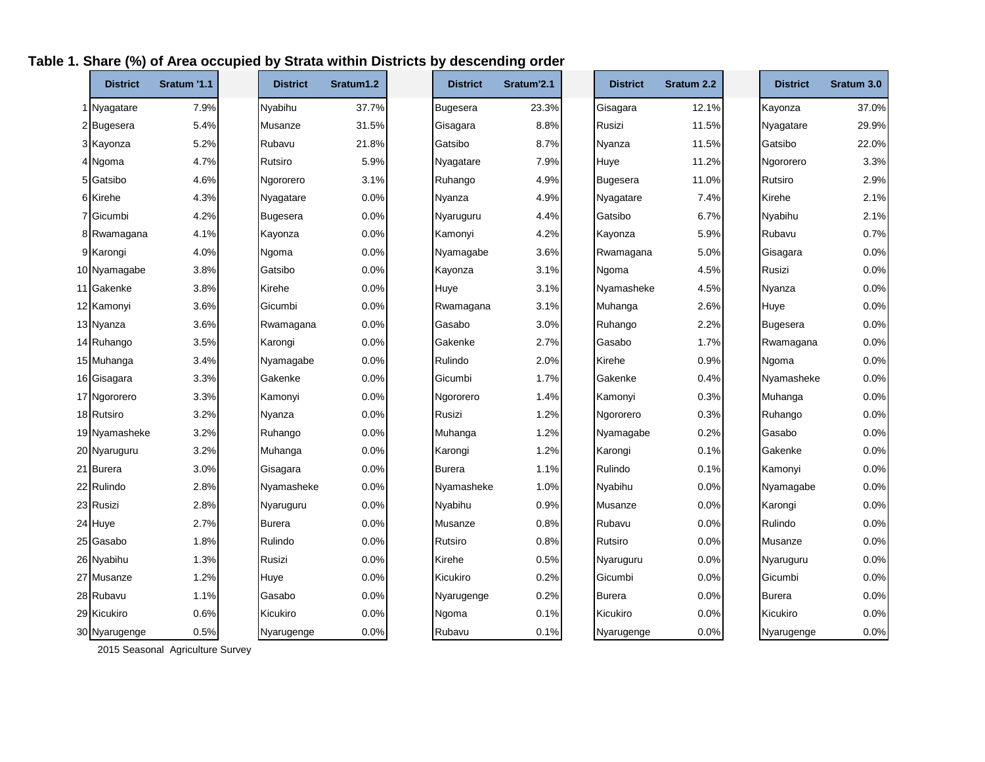|  |  |  |  |  | Table 1. Share (%) of Area occupied by Strata within Districts by descending order |  |  |
|--|--|--|--|--|------------------------------------------------------------------------------------|--|--|
|--|--|--|--|--|------------------------------------------------------------------------------------|--|--|

| <b>District</b> | Sratum '1.1 | <b>District</b> | Sratum1.2 | <b>District</b> | Sratum'2.1 | <b>District</b> | <b>Sratum 2.2</b> | <b>District</b> | Sratum 3.0 |
|-----------------|-------------|-----------------|-----------|-----------------|------------|-----------------|-------------------|-----------------|------------|
| 1 Nyagatare     | 7.9%        | Nyabihu         | 37.7%     | <b>Bugesera</b> | 23.3%      | Gisagara        | 12.1%             | Kayonza         | 37.0%      |
| 2 Bugesera      | 5.4%        | Musanze         | 31.5%     | Gisagara        | 8.8%       | Rusizi          | 11.5%             | Nyagatare       | 29.9%      |
| 3 Kayonza       | 5.2%        | Rubavu          | 21.8%     | Gatsibo         | 8.7%       | Nyanza          | 11.5%             | Gatsibo         | 22.0%      |
| 4 Ngoma         | 4.7%        | Rutsiro         | 5.9%      | Nyagatare       | 7.9%       | Huye            | 11.2%             | Ngororero       | 3.3%       |
| 5 Gatsibo       | 4.6%        | Ngororero       | 3.1%      | Ruhango         | 4.9%       | <b>Bugesera</b> | 11.0%             | Rutsiro         | 2.9%       |
| 6 Kirehe        | 4.3%        | Nyagatare       | 0.0%      | Nyanza          | 4.9%       | Nyagatare       | 7.4%              | Kirehe          | 2.1%       |
| 7 Gicumbi       | 4.2%        | Bugesera        | 0.0%      | Nyaruguru       | 4.4%       | Gatsibo         | 6.7%              | Nyabihu         | 2.1%       |
| 8 Rwamagana     | 4.1%        | Kayonza         | 0.0%      | Kamonyi         | 4.2%       | Kayonza         | 5.9%              | Rubavu          | 0.7%       |
| 9 Karongi       | 4.0%        | Ngoma           | 0.0%      | Nyamagabe       | 3.6%       | Rwamagana       | 5.0%              | Gisagara        | 0.0%       |
| 10 Nyamagabe    | 3.8%        | Gatsibo         | 0.0%      | Kayonza         | 3.1%       | Ngoma           | 4.5%              | Rusizi          | 0.0%       |
| 11 Gakenke      | 3.8%        | Kirehe          | 0.0%      | Huye            | 3.1%       | Nyamasheke      | 4.5%              | Nyanza          | 0.0%       |
| 12 Kamonyi      | 3.6%        | Gicumbi         | 0.0%      | Rwamagana       | 3.1%       | Muhanga         | 2.6%              | Huye            | 0.0%       |
| 13 Nyanza       | 3.6%        | Rwamagana       | 0.0%      | Gasabo          | 3.0%       | Ruhango         | 2.2%              | Bugesera        | 0.0%       |
| 14 Ruhango      | 3.5%        | Karongi         | 0.0%      | Gakenke         | 2.7%       | Gasabo          | 1.7%              | Rwamagana       | 0.0%       |
| 15 Muhanga      | 3.4%        | Nyamagabe       | 0.0%      | Rulindo         | 2.0%       | Kirehe          | 0.9%              | Ngoma           | 0.0%       |
| 16 Gisagara     | 3.3%        | Gakenke         | 0.0%      | Gicumbi         | 1.7%       | Gakenke         | 0.4%              | Nyamasheke      | 0.0%       |
| 17 Ngororero    | 3.3%        | Kamonyi         | 0.0%      | Ngororero       | 1.4%       | Kamonyi         | 0.3%              | Muhanga         | 0.0%       |
| 18 Rutsiro      | 3.2%        | Nyanza          | 0.0%      | Rusizi          | 1.2%       | Ngororero       | 0.3%              | Ruhango         | 0.0%       |
| 19 Nyamasheke   | 3.2%        | Ruhango         | 0.0%      | Muhanga         | 1.2%       | Nyamagabe       | 0.2%              | Gasabo          | 0.0%       |
| 20 Nyaruguru    | 3.2%        | Muhanga         | 0.0%      | Karongi         | 1.2%       | Karongi         | 0.1%              | Gakenke         | 0.0%       |
| 21 Burera       | 3.0%        | Gisagara        | 0.0%      | <b>Burera</b>   | 1.1%       | Rulindo         | 0.1%              | Kamonyi         | 0.0%       |
| 22 Rulindo      | 2.8%        | Nyamasheke      | 0.0%      | Nyamasheke      | 1.0%       | Nyabihu         | 0.0%              | Nyamagabe       | 0.0%       |
| 23 Rusizi       | 2.8%        | Nyaruguru       | 0.0%      | Nyabihu         | 0.9%       | Musanze         | 0.0%              | Karongi         | 0.0%       |
| 24 Huye         | 2.7%        | Burera          | 0.0%      | Musanze         | 0.8%       | Rubavu          | 0.0%              | Rulindo         | 0.0%       |
| 25 Gasabo       | 1.8%        | Rulindo         | 0.0%      | Rutsiro         | 0.8%       | Rutsiro         | 0.0%              | Musanze         | 0.0%       |
| 26 Nyabihu      | 1.3%        | Rusizi          | 0.0%      | Kirehe          | 0.5%       | Nyaruguru       | 0.0%              | Nyaruguru       | 0.0%       |
| 27 Musanze      | 1.2%        | Huye            | 0.0%      | Kicukiro        | 0.2%       | Gicumbi         | 0.0%              | Gicumbi         | 0.0%       |
| 28 Rubavu       | 1.1%        | Gasabo          | 0.0%      | Nyarugenge      | 0.2%       | <b>Burera</b>   | 0.0%              | Burera          | 0.0%       |
| 29 Kicukiro     | 0.6%        | Kicukiro        | 0.0%      | Ngoma           | 0.1%       | Kicukiro        | 0.0%              | Kicukiro        | 0.0%       |
| 30 Nyarugenge   | 0.5%        | Nyarugenge      | 0.0%      | Rubavu          | 0.1%       | Nyarugenge      | 0.0%              | Nyarugenge      | 0.0%       |

2015 Seasonal Agriculture Survey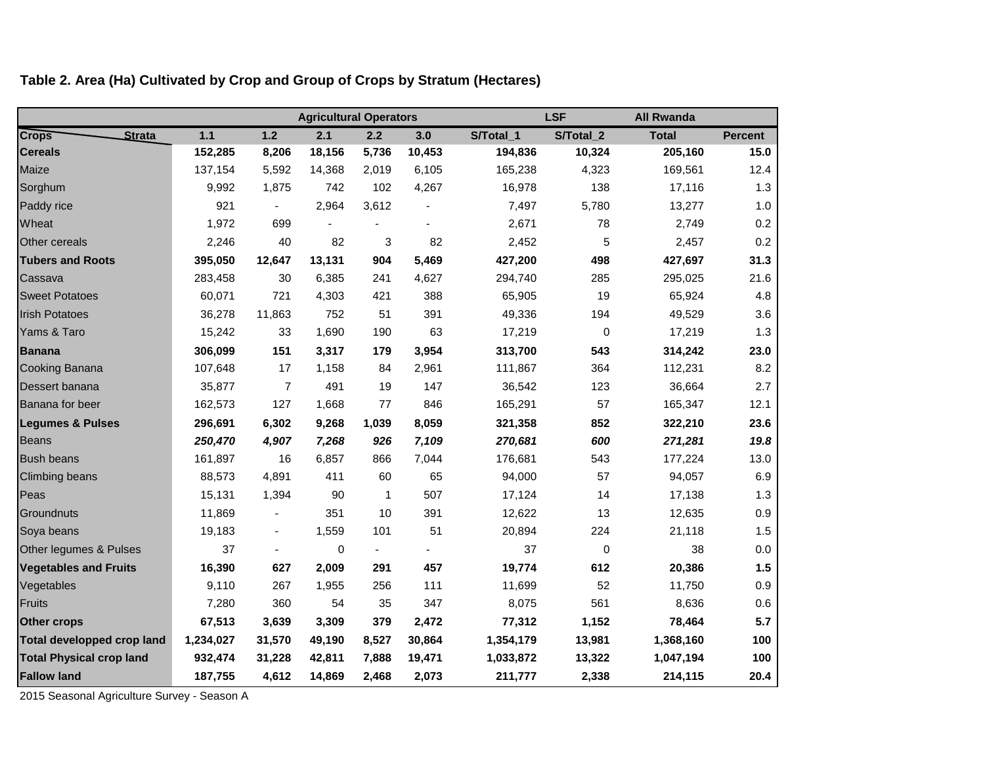|                                 |           |                          | <b>Agricultural Operators</b> |       |        |           | <b>LSF</b>  | <b>All Rwanda</b> |                |
|---------------------------------|-----------|--------------------------|-------------------------------|-------|--------|-----------|-------------|-------------------|----------------|
| <b>Crops</b><br><b>Strata</b>   | $1.1$     | $1.2$                    | 2.1                           | 2.2   | 3.0    | S/Total_1 | S/Total_2   | <b>Total</b>      | <b>Percent</b> |
| <b>Cereals</b>                  | 152,285   | 8,206                    | 18,156                        | 5,736 | 10,453 | 194,836   | 10,324      | 205,160           | 15.0           |
| Maize                           | 137,154   | 5,592                    | 14,368                        | 2,019 | 6,105  | 165,238   | 4,323       | 169,561           | 12.4           |
| Sorghum                         | 9,992     | 1,875                    | 742                           | 102   | 4,267  | 16,978    | 138         | 17,116            | 1.3            |
| Paddy rice                      | 921       |                          | 2,964                         | 3,612 |        | 7,497     | 5,780       | 13,277            | 1.0            |
| Wheat                           | 1,972     | 699                      |                               |       |        | 2,671     | 78          | 2,749             | 0.2            |
| Other cereals                   | 2,246     | 40                       | 82                            | 3     | 82     | 2,452     | 5           | 2,457             | 0.2            |
| <b>Tubers and Roots</b>         | 395,050   | 12,647                   | 13,131                        | 904   | 5,469  | 427,200   | 498         | 427,697           | 31.3           |
| Cassava                         | 283,458   | 30                       | 6,385                         | 241   | 4,627  | 294,740   | 285         | 295,025           | 21.6           |
| <b>Sweet Potatoes</b>           | 60,071    | 721                      | 4,303                         | 421   | 388    | 65,905    | 19          | 65,924            | 4.8            |
| <b>Irish Potatoes</b>           | 36,278    | 11,863                   | 752                           | 51    | 391    | 49,336    | 194         | 49,529            | 3.6            |
| Yams & Taro                     | 15,242    | 33                       | 1,690                         | 190   | 63     | 17,219    | $\mathbf 0$ | 17,219            | 1.3            |
| <b>Banana</b>                   | 306,099   | 151                      | 3,317                         | 179   | 3,954  | 313,700   | 543         | 314,242           | 23.0           |
| Cooking Banana                  | 107,648   | 17                       | 1,158                         | 84    | 2,961  | 111,867   | 364         | 112,231           | 8.2            |
| Dessert banana                  | 35,877    | $\overline{7}$           | 491                           | 19    | 147    | 36,542    | 123         | 36,664            | 2.7            |
| Banana for beer                 | 162,573   | 127                      | 1,668                         | 77    | 846    | 165,291   | 57          | 165,347           | 12.1           |
| <b>Legumes &amp; Pulses</b>     | 296,691   | 6,302                    | 9,268                         | 1,039 | 8,059  | 321,358   | 852         | 322,210           | 23.6           |
| <b>Beans</b>                    | 250,470   | 4,907                    | 7,268                         | 926   | 7,109  | 270,681   | 600         | 271,281           | 19.8           |
| <b>Bush beans</b>               | 161,897   | 16                       | 6,857                         | 866   | 7,044  | 176,681   | 543         | 177,224           | 13.0           |
| Climbing beans                  | 88,573    | 4,891                    | 411                           | 60    | 65     | 94,000    | 57          | 94,057            | 6.9            |
| Peas                            | 15,131    | 1,394                    | 90                            | 1     | 507    | 17,124    | 14          | 17,138            | 1.3            |
| Groundnuts                      | 11,869    | $\overline{\phantom{a}}$ | 351                           | 10    | 391    | 12,622    | 13          | 12,635            | 0.9            |
| Soya beans                      | 19,183    | $\overline{\phantom{a}}$ | 1,559                         | 101   | 51     | 20,894    | 224         | 21,118            | 1.5            |
| Other legumes & Pulses          | 37        |                          | 0                             |       |        | 37        | 0           | 38                | 0.0            |
| <b>Vegetables and Fruits</b>    | 16,390    | 627                      | 2,009                         | 291   | 457    | 19,774    | 612         | 20,386            | 1.5            |
| Vegetables                      | 9,110     | 267                      | 1,955                         | 256   | 111    | 11,699    | 52          | 11,750            | 0.9            |
| <b>Fruits</b>                   | 7,280     | 360                      | 54                            | 35    | 347    | 8,075     | 561         | 8,636             | 0.6            |
| Other crops                     | 67,513    | 3,639                    | 3,309                         | 379   | 2,472  | 77,312    | 1,152       | 78,464            | 5.7            |
| Total developped crop land      | 1,234,027 | 31,570                   | 49,190                        | 8,527 | 30,864 | 1,354,179 | 13,981      | 1,368,160         | 100            |
| <b>Total Physical crop land</b> | 932,474   | 31,228                   | 42,811                        | 7,888 | 19,471 | 1,033,872 | 13,322      | 1,047,194         | 100            |
| <b>Fallow land</b>              | 187,755   | 4,612                    | 14,869                        | 2,468 | 2,073  | 211,777   | 2,338       | 214,115           | 20.4           |

**Table 2. Area (Ha) Cultivated by Crop and Group of Crops by Stratum (Hectares)**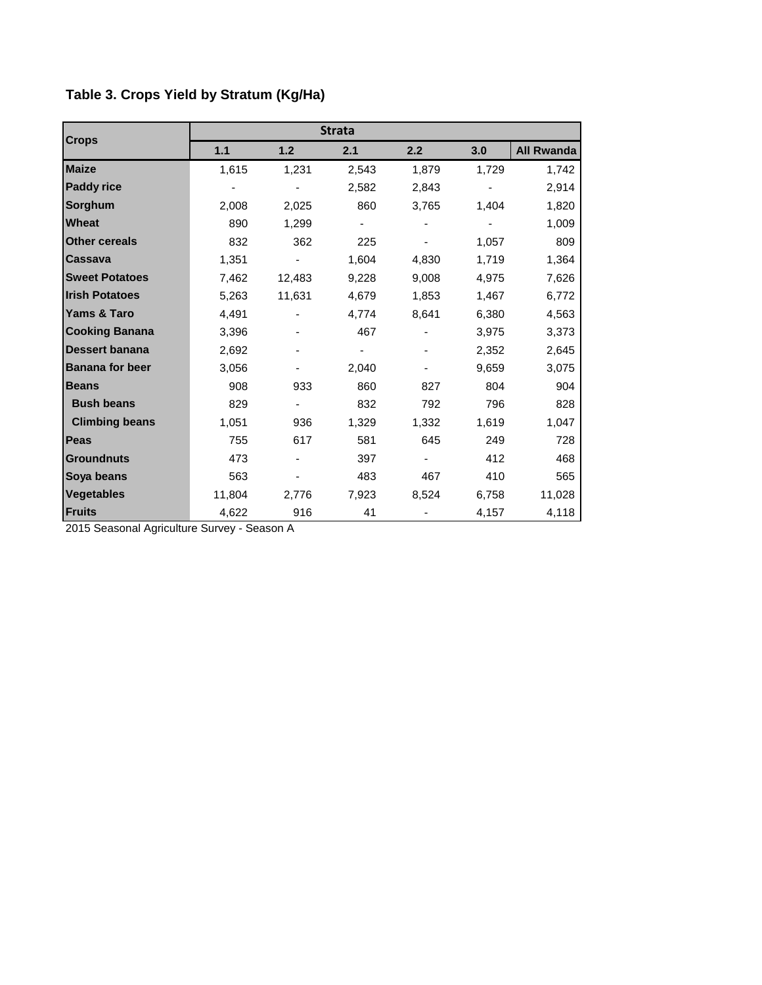|                        |        |        | <b>Strata</b> |       |       |                   |
|------------------------|--------|--------|---------------|-------|-------|-------------------|
| <b>Crops</b>           | 1.1    | $1.2$  | 2.1           | 2.2   | 3.0   | <b>All Rwanda</b> |
| <b>Maize</b>           | 1,615  | 1,231  | 2,543         | 1,879 | 1,729 | 1,742             |
| <b>Paddy rice</b>      |        |        | 2,582         | 2,843 |       | 2,914             |
| Sorghum                | 2,008  | 2,025  | 860           | 3,765 | 1,404 | 1,820             |
| <b>Wheat</b>           | 890    | 1,299  |               |       |       | 1,009             |
| <b>Other cereals</b>   | 832    | 362    | 225           |       | 1,057 | 809               |
| <b>Cassava</b>         | 1,351  |        | 1,604         | 4,830 | 1,719 | 1,364             |
| <b>Sweet Potatoes</b>  | 7,462  | 12,483 | 9,228         | 9,008 | 4,975 | 7,626             |
| <b>Irish Potatoes</b>  | 5,263  | 11,631 | 4,679         | 1,853 | 1,467 | 6,772             |
| Yams & Taro            | 4,491  |        | 4,774         | 8,641 | 6,380 | 4,563             |
| <b>Cooking Banana</b>  | 3,396  |        | 467           |       | 3,975 | 3,373             |
| <b>Dessert banana</b>  | 2,692  |        |               |       | 2,352 | 2,645             |
| <b>Banana for beer</b> | 3,056  |        | 2,040         |       | 9,659 | 3,075             |
| <b>Beans</b>           | 908    | 933    | 860           | 827   | 804   | 904               |
| <b>Bush beans</b>      | 829    |        | 832           | 792   | 796   | 828               |
| <b>Climbing beans</b>  | 1,051  | 936    | 1,329         | 1,332 | 1,619 | 1,047             |
| <b>Peas</b>            | 755    | 617    | 581           | 645   | 249   | 728               |
| Groundnuts             | 473    |        | 397           |       | 412   | 468               |
| Soya beans             | 563    |        | 483           | 467   | 410   | 565               |
| Vegetables             | 11,804 | 2,776  | 7,923         | 8,524 | 6,758 | 11,028            |
| <b>Fruits</b>          | 4,622  | 916    | 41            |       | 4,157 | 4,118             |

# **Table 3. Crops Yield by Stratum (Kg/Ha)**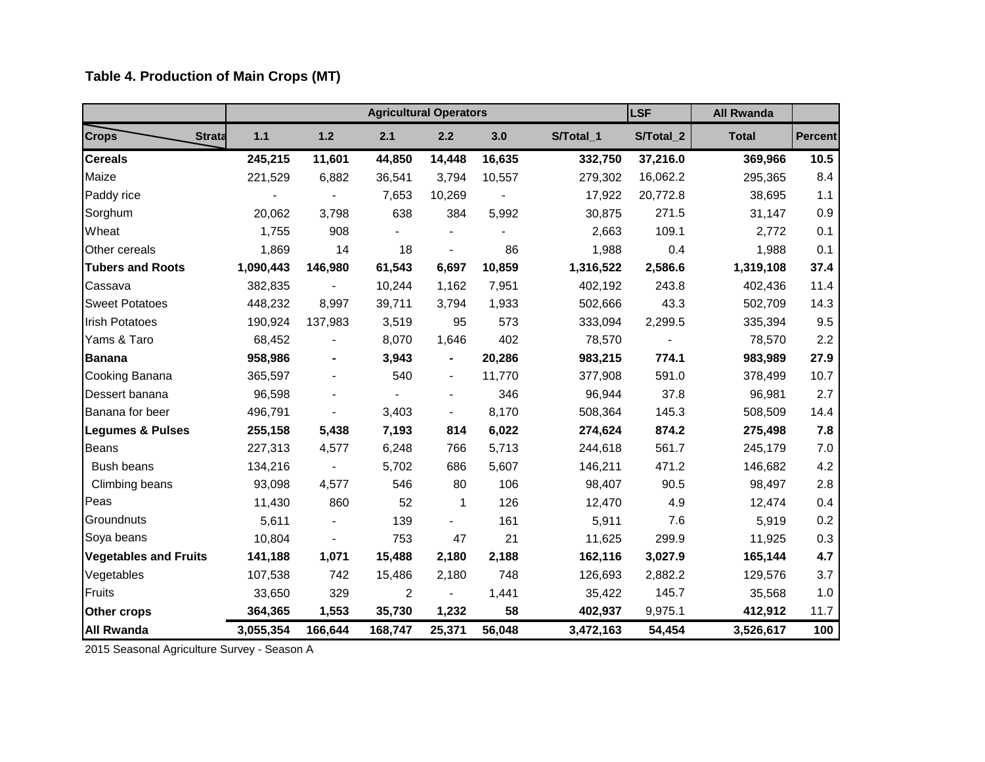# **Table 4. Production of Main Crops (MT)**

|                               |           |                          | <b>Agricultural Operators</b> |                          |        |           | <b>LSF</b> | <b>All Rwanda</b> |                |
|-------------------------------|-----------|--------------------------|-------------------------------|--------------------------|--------|-----------|------------|-------------------|----------------|
| <b>Crops</b><br><b>Strata</b> | $1.1$     | $1.2$                    | 2.1                           | 2.2                      | 3.0    | S/Total_1 | S/Total_2  | <b>Total</b>      | <b>Percent</b> |
| <b>Cereals</b>                | 245,215   | 11,601                   | 44,850                        | 14,448                   | 16,635 | 332,750   | 37,216.0   | 369,966           | 10.5           |
| Maize                         | 221,529   | 6,882                    | 36,541                        | 3,794                    | 10,557 | 279,302   | 16,062.2   | 295,365           | 8.4            |
| Paddy rice                    |           |                          | 7,653                         | 10,269                   |        | 17,922    | 20,772.8   | 38,695            | 1.1            |
| Sorghum                       | 20,062    | 3,798                    | 638                           | 384                      | 5,992  | 30,875    | 271.5      | 31,147            | 0.9            |
| Wheat                         | 1,755     | 908                      |                               |                          |        | 2,663     | 109.1      | 2,772             | 0.1            |
| Other cereals                 | 1,869     | 14                       | 18                            | $\overline{\phantom{a}}$ | 86     | 1,988     | 0.4        | 1,988             | 0.1            |
| <b>Tubers and Roots</b>       | 1,090,443 | 146,980                  | 61,543                        | 6,697                    | 10,859 | 1,316,522 | 2,586.6    | 1,319,108         | 37.4           |
| Cassava                       | 382,835   |                          | 10,244                        | 1,162                    | 7,951  | 402,192   | 243.8      | 402,436           | 11.4           |
| <b>Sweet Potatoes</b>         | 448,232   | 8,997                    | 39,711                        | 3,794                    | 1,933  | 502,666   | 43.3       | 502,709           | 14.3           |
| <b>Irish Potatoes</b>         | 190,924   | 137,983                  | 3,519                         | 95                       | 573    | 333,094   | 2,299.5    | 335,394           | 9.5            |
| Yams & Taro                   | 68,452    |                          | 8,070                         | 1,646                    | 402    | 78,570    |            | 78,570            | 2.2            |
| Banana                        | 958,986   | ۰                        | 3,943                         | $\blacksquare$           | 20,286 | 983,215   | 774.1      | 983,989           | 27.9           |
| Cooking Banana                | 365,597   |                          | 540                           | $\blacksquare$           | 11,770 | 377,908   | 591.0      | 378,499           | 10.7           |
| Dessert banana                | 96,598    |                          |                               | $\overline{\phantom{a}}$ | 346    | 96,944    | 37.8       | 96,981            | 2.7            |
| Banana for beer               | 496,791   |                          | 3,403                         | $\overline{\phantom{a}}$ | 8,170  | 508,364   | 145.3      | 508,509           | 14.4           |
| <b>Legumes &amp; Pulses</b>   | 255,158   | 5,438                    | 7,193                         | 814                      | 6,022  | 274,624   | 874.2      | 275,498           | 7.8            |
| Beans                         | 227,313   | 4,577                    | 6,248                         | 766                      | 5,713  | 244,618   | 561.7      | 245,179           | 7.0            |
| Bush beans                    | 134,216   | $\overline{\phantom{a}}$ | 5,702                         | 686                      | 5,607  | 146,211   | 471.2      | 146,682           | 4.2            |
| Climbing beans                | 93,098    | 4,577                    | 546                           | 80                       | 106    | 98,407    | 90.5       | 98,497            | 2.8            |
| Peas                          | 11,430    | 860                      | 52                            | 1                        | 126    | 12,470    | 4.9        | 12,474            | 0.4            |
| Groundnuts                    | 5,611     |                          | 139                           | $\overline{\phantom{a}}$ | 161    | 5,911     | 7.6        | 5,919             | 0.2            |
| Soya beans                    | 10,804    |                          | 753                           | 47                       | 21     | 11,625    | 299.9      | 11,925            | 0.3            |
| <b>Vegetables and Fruits</b>  | 141,188   | 1,071                    | 15,488                        | 2,180                    | 2,188  | 162,116   | 3,027.9    | 165,144           | 4.7            |
| Vegetables                    | 107,538   | 742                      | 15,486                        | 2,180                    | 748    | 126,693   | 2,882.2    | 129,576           | 3.7            |
| Fruits                        | 33,650    | 329                      | $\overline{c}$                |                          | 1,441  | 35,422    | 145.7      | 35,568            | 1.0            |
| <b>Other crops</b>            | 364,365   | 1,553                    | 35,730                        | 1,232                    | 58     | 402,937   | 9,975.1    | 412,912           | 11.7           |
| <b>All Rwanda</b>             | 3,055,354 | 166,644                  | 168,747                       | 25,371                   | 56,048 | 3,472,163 | 54,454     | 3,526,617         | 100            |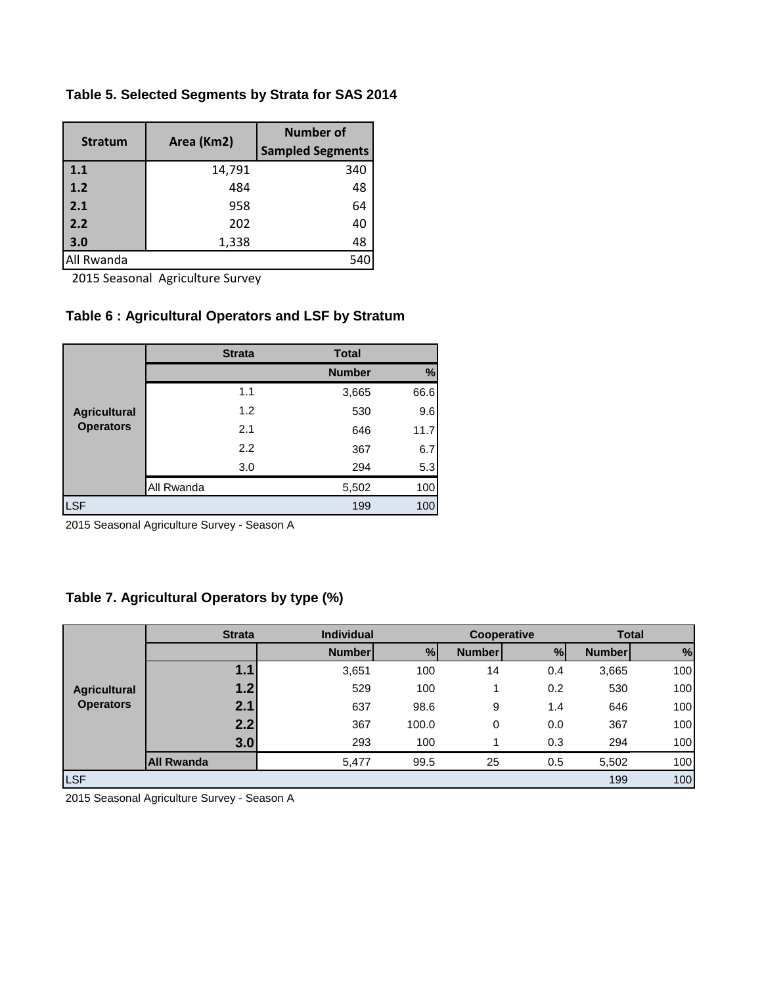# **Table 5. Selected Segments by Strata for SAS 2014**

| <b>Stratum</b> | Area (Km2) | Number of<br><b>Sampled Segments</b> |
|----------------|------------|--------------------------------------|
| 1.1            | 14,791     | 340                                  |
| 1.2            | 484        | 48                                   |
| 2.1            | 958        | 64                                   |
| 2.2            | 202        | 40                                   |
| 3.0            | 1,338      | 48                                   |
| All Rwanda     |            | 540                                  |

2015 Seasonal Agriculture Survey

### **Table 6 : Agricultural Operators and LSF by Stratum**

|                     | <b>Strata</b> | <b>Total</b>  |      |
|---------------------|---------------|---------------|------|
|                     |               | <b>Number</b> | %    |
|                     | 1.1           | 3,665         | 66.6 |
| <b>Agricultural</b> | 1.2           | 530           | 9.6  |
| <b>Operators</b>    | 2.1           | 646           | 11.7 |
|                     | 2.2           | 367           | 6.7  |
|                     | 3.0           | 294           | 5.3  |
|                     | All Rwanda    | 5,502         | 100  |
| <b>LSF</b>          |               | 199           | 100  |

2015 Seasonal Agriculture Survey - Season A

# **Table 7. Agricultural Operators by type (%)**

|                     | <b>Strata</b> | <b>Individual</b> |       | Cooperative   |     | <b>Total</b>  |     |
|---------------------|---------------|-------------------|-------|---------------|-----|---------------|-----|
|                     |               | <b>Number</b>     | %     | <b>Number</b> | %   | <b>Number</b> | %   |
|                     | 1.1           | 3,651             | 100   | 14            | 0.4 | 3,665         | 100 |
| <b>Agricultural</b> | 1.2           | 529               | 100   |               | 0.2 | 530           | 100 |
| <b>Operators</b>    | 2.1           | 637               | 98.6  | 9             | 1.4 | 646           | 100 |
|                     | 2.2           | 367               | 100.0 | 0             | 0.0 | 367           | 100 |
|                     | 3.0           | 293               | 100   |               | 0.3 | 294           | 100 |
|                     | All Rwanda    | 5,477             | 99.5  | 25            | 0.5 | 5,502         | 100 |
| <b>LSF</b>          |               |                   |       |               |     | 199           | 100 |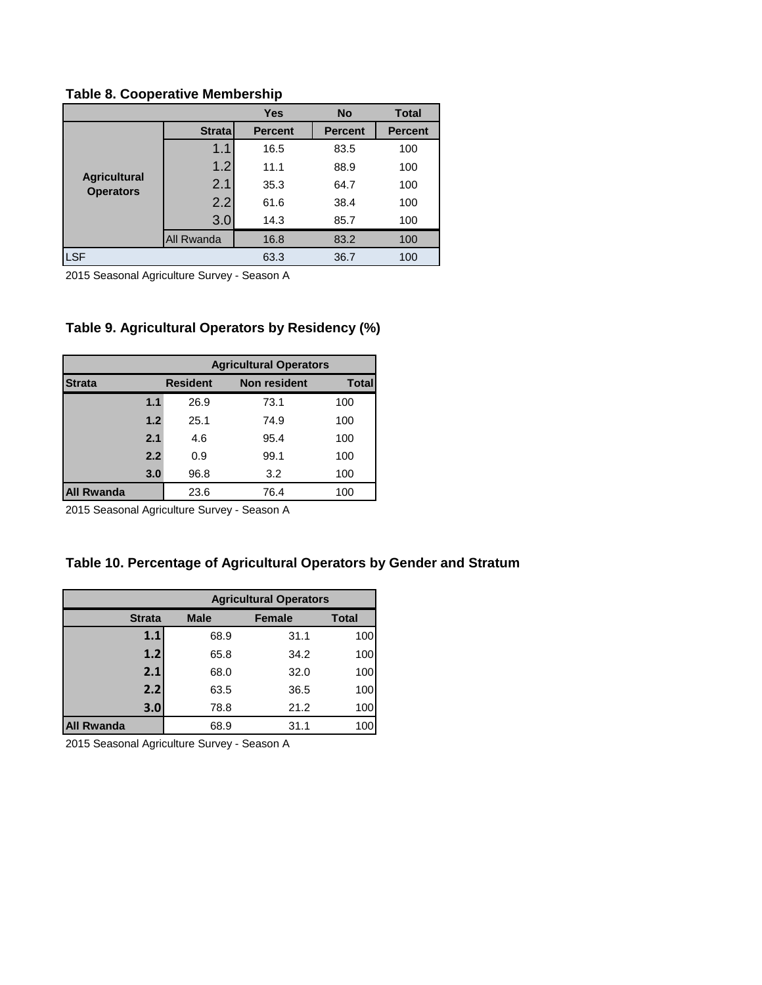### **Table 8. Cooperative Membership**

|                                         |               | <b>Yes</b>     | <b>No</b>      | <b>Total</b>   |
|-----------------------------------------|---------------|----------------|----------------|----------------|
|                                         | <b>Strata</b> | <b>Percent</b> | <b>Percent</b> | <b>Percent</b> |
|                                         | 1.1           | 16.5           | 83.5           | 100            |
|                                         | 1.2           | 11.1           | 88.9           | 100            |
| <b>Agricultural</b><br><b>Operators</b> | 2.1           | 35.3           | 64.7           | 100            |
|                                         | 2.2           | 61.6           | 38.4           | 100            |
|                                         | 3.0           | 14.3           | 85.7           | 100            |
|                                         | All Rwanda    | 16.8           | 83.2           | 100            |
| <b>LSF</b>                              |               | 63.3           | 36.7           | 100            |

2015 Seasonal Agriculture Survey - Season A

### **Table 9. Agricultural Operators by Residency (%)**

|                   |     | <b>Agricultural Operators</b> |              |              |  |  |  |  |
|-------------------|-----|-------------------------------|--------------|--------------|--|--|--|--|
| <b>Strata</b>     |     | <b>Resident</b>               | Non resident | <b>Total</b> |  |  |  |  |
|                   | 1.1 | 26.9                          | 73.1         | 100          |  |  |  |  |
|                   | 1.2 | 25.1                          | 74.9         | 100          |  |  |  |  |
|                   | 2.1 | 4.6                           | 95.4         | 100          |  |  |  |  |
|                   | 2.2 | 0.9                           | 99.1         | 100          |  |  |  |  |
|                   | 3.0 | 96.8                          | 3.2          | 100          |  |  |  |  |
| <b>All Rwanda</b> |     | 23.6                          | 76.4         | 100          |  |  |  |  |

2015 Seasonal Agriculture Survey - Season A

### **Table 10. Percentage of Agricultural Operators by Gender and Stratum**

|                   | <b>Agricultural Operators</b>                |      |     |  |  |  |  |  |
|-------------------|----------------------------------------------|------|-----|--|--|--|--|--|
| <b>Strata</b>     | <b>Male</b><br><b>Total</b><br><b>Female</b> |      |     |  |  |  |  |  |
| 1.1               | 68.9                                         | 31.1 | 100 |  |  |  |  |  |
| 1.2               | 65.8                                         | 34.2 | 100 |  |  |  |  |  |
| 2.1               | 68.0                                         | 32.0 | 100 |  |  |  |  |  |
| 2.2               | 63.5                                         | 36.5 | 100 |  |  |  |  |  |
| 3.0               | 78.8                                         | 21.2 | 100 |  |  |  |  |  |
| <b>All Rwanda</b> | 68.9                                         | 31.1 | 100 |  |  |  |  |  |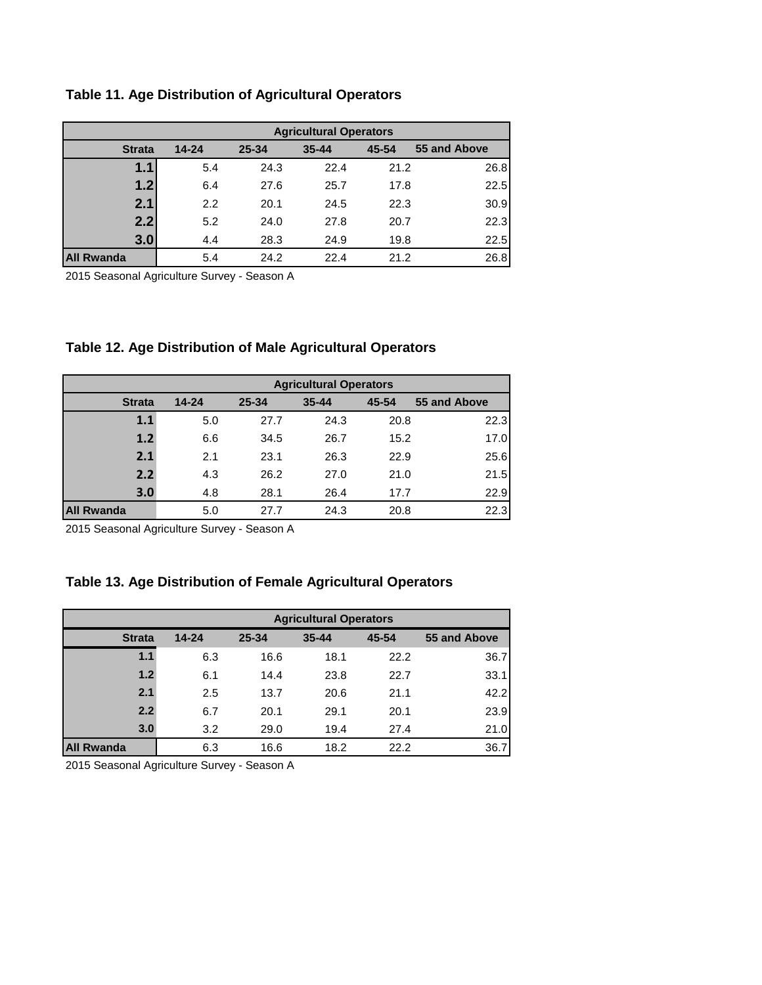|                   | <b>Agricultural Operators</b> |       |           |       |              |  |
|-------------------|-------------------------------|-------|-----------|-------|--------------|--|
| <b>Strata</b>     | $14 - 24$                     | 25-34 | $35 - 44$ | 45-54 | 55 and Above |  |
| 1.1               | 5.4                           | 24.3  | 22.4      | 21.2  | 26.8         |  |
| 1.2               | 6.4                           | 27.6  | 25.7      | 17.8  | 22.5         |  |
| 2.1               | 2.2                           | 20.1  | 24.5      | 22.3  | 30.9         |  |
| 2.2               | 5.2                           | 24.0  | 27.8      | 20.7  | 22.3         |  |
| 3.0               | 4.4                           | 28.3  | 24.9      | 19.8  | 22.5         |  |
| <b>All Rwanda</b> | 5.4                           | 24.2  | 22.4      | 21.2  | 26.8         |  |

2015 Seasonal Agriculture Survey - Season A

|                   | <b>Agricultural Operators</b> |       |           |       |              |  |
|-------------------|-------------------------------|-------|-----------|-------|--------------|--|
| <b>Strata</b>     | $14 - 24$                     | 25-34 | $35 - 44$ | 45-54 | 55 and Above |  |
| 1.1               | 5.0                           | 27.7  | 24.3      | 20.8  | 22.3         |  |
| 1.2               | 6.6                           | 34.5  | 26.7      | 15.2  | 17.0         |  |
| 2.1               | 2.1                           | 23.1  | 26.3      | 22.9  | 25.6         |  |
| 2.2               | 4.3                           | 26.2  | 27.0      | 21.0  | 21.5         |  |
| 3.0 <sub>2</sub>  | 4.8                           | 28.1  | 26.4      | 17.7  | 22.9         |  |
| <b>All Rwanda</b> | 5.0                           | 27.7  | 24.3      | 20.8  | 22.3         |  |

2015 Seasonal Agriculture Survey - Season A

# **Table 13. Age Distribution of Female Agricultural Operators**

|                   | <b>Agricultural Operators</b> |       |           |       |              |  |  |
|-------------------|-------------------------------|-------|-----------|-------|--------------|--|--|
| <b>Strata</b>     | $14 - 24$                     | 25-34 | $35 - 44$ | 45-54 | 55 and Above |  |  |
| 1.1               | 6.3                           | 16.6  | 18.1      | 22.2  | 36.7         |  |  |
| 1.2               | 6.1                           | 14.4  | 23.8      | 22.7  | 33.1         |  |  |
| 2.1               | 2.5                           | 13.7  | 20.6      | 21.1  | 42.2         |  |  |
| 2.2               | 6.7                           | 20.1  | 29.1      | 20.1  | 23.9         |  |  |
| 3.0               | 3.2                           | 29.0  | 19.4      | 27.4  | 21.0         |  |  |
| <b>All Rwanda</b> | 6.3                           | 16.6  | 18.2      | 22.2  | 36.7         |  |  |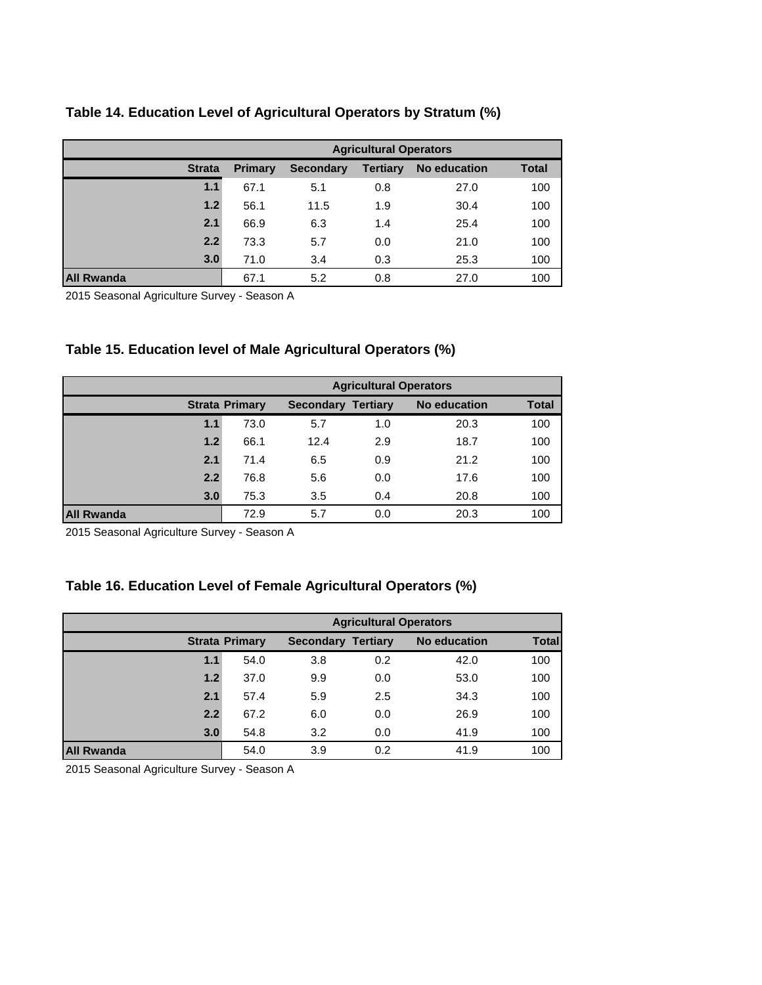|                    | <b>Agricultural Operators</b>                                                                |      |     |      |     |  |  |
|--------------------|----------------------------------------------------------------------------------------------|------|-----|------|-----|--|--|
| <b>Strata</b>      | <b>Total</b><br><b>Secondary</b><br><b>Tertiary</b><br><b>Primary</b><br><b>No education</b> |      |     |      |     |  |  |
| 1.1                | 67.1                                                                                         | 5.1  | 0.8 | 27.0 | 100 |  |  |
| 1.2                | 56.1                                                                                         | 11.5 | 1.9 | 30.4 | 100 |  |  |
| 2.1                | 66.9                                                                                         | 6.3  | 1.4 | 25.4 | 100 |  |  |
| 2.2                | 73.3                                                                                         | 5.7  | 0.0 | 21.0 | 100 |  |  |
| 3.0                | 71.0                                                                                         | 3.4  | 0.3 | 25.3 | 100 |  |  |
| <b>IAII Rwanda</b> | 67.1                                                                                         | 5.2  | 0.8 | 27.0 | 100 |  |  |

# **Table 14. Education Level of Agricultural Operators by Stratum (%)**

2015 Seasonal Agriculture Survey - Season A

### **Table 15. Education level of Male Agricultural Operators (%)**

|            | <b>Agricultural Operators</b> |                           |     |                     |              |
|------------|-------------------------------|---------------------------|-----|---------------------|--------------|
|            | <b>Strata Primary</b>         | <b>Secondary Tertiary</b> |     | <b>No education</b> | <b>Total</b> |
| 1.1        | 73.0                          | 5.7                       | 1.0 | 20.3                | 100          |
| 1.2        | 66.1                          | 12.4                      | 2.9 | 18.7                | 100          |
| 2.1        | 71.4                          | 6.5                       | 0.9 | 21.2                | 100          |
| 2.2        | 76.8                          | 5.6                       | 0.0 | 17.6                | 100          |
| 3.0        | 75.3                          | 3.5                       | 0.4 | 20.8                | 100          |
| All Rwanda | 72.9                          | 5.7                       | 0.0 | 20.3                | 100          |

2015 Seasonal Agriculture Survey - Season A

# **Table 16. Education Level of Female Agricultural Operators (%)**

|                   | <b>Agricultural Operators</b> |                           |     |                     |              |  |
|-------------------|-------------------------------|---------------------------|-----|---------------------|--------------|--|
|                   | <b>Strata Primary</b>         | <b>Secondary Tertiary</b> |     | <b>No education</b> | <b>Total</b> |  |
| 1.1               | 54.0                          | 3.8                       | 0.2 | 42.0                | 100          |  |
| 1.2               | 37.0                          | 9.9                       | 0.0 | 53.0                | 100          |  |
| 2.1               | 57.4                          | 5.9                       | 2.5 | 34.3                | 100          |  |
| 2.2               | 67.2                          | 6.0                       | 0.0 | 26.9                | 100          |  |
| 3.0               | 54.8                          | 3.2                       | 0.0 | 41.9                | 100          |  |
| <b>All Rwanda</b> | 54.0                          | 3.9                       | 0.2 | 41.9                | 100          |  |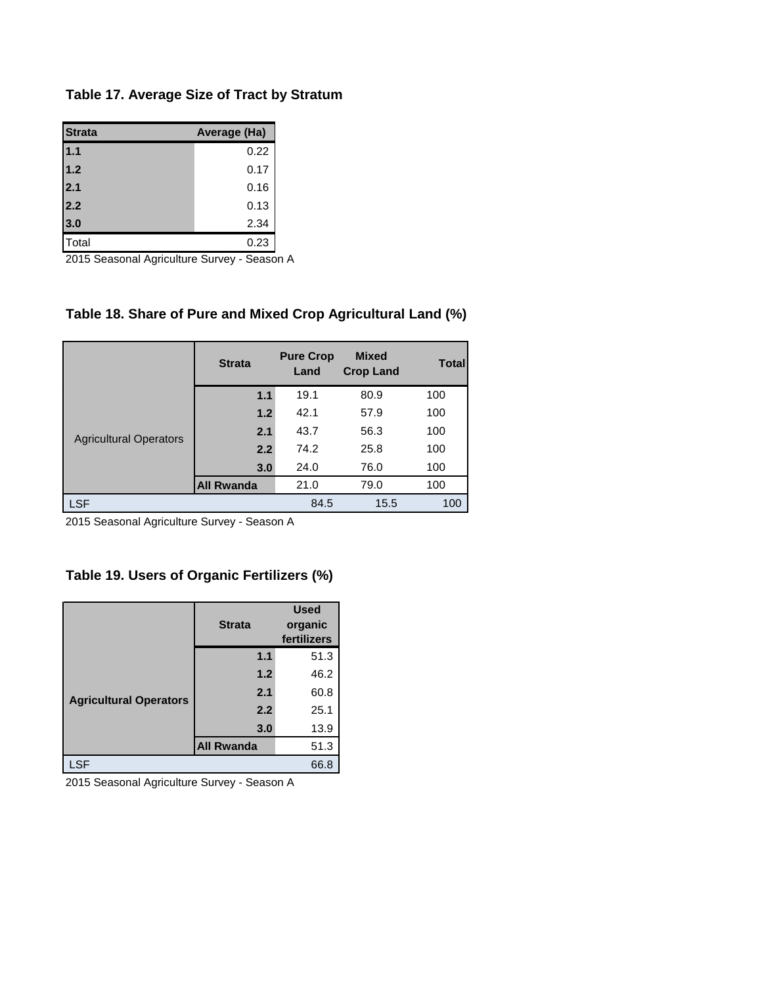### **Table 17. Average Size of Tract by Stratum**

| <b>Strata</b> | Average (Ha) |
|---------------|--------------|
| 1.1           | 0.22         |
| 1.2           | 0.17         |
| 2.1           | 0.16         |
| 2.2           | 0.13         |
| 3.0           | 2.34         |
| Total         | 0.23         |

2015 Seasonal Agriculture Survey - Season A

### **Table 18. Share of Pure and Mixed Crop Agricultural Land (%)**

|                               | <b>Strata</b>     | <b>Pure Crop</b><br>Land | <b>Mixed</b><br><b>Crop Land</b> | Total |
|-------------------------------|-------------------|--------------------------|----------------------------------|-------|
|                               | 1.1               | 19.1                     | 80.9                             | 100   |
|                               | 1.2               | 42.1                     | 57.9                             | 100   |
| <b>Agricultural Operators</b> | 2.1               | 43.7                     | 56.3                             | 100   |
|                               | 2.2               | 74.2                     | 25.8                             | 100   |
|                               | 3.0               | 24.0                     | 76.0                             | 100   |
|                               | <b>All Rwanda</b> | 21.0                     | 79.0                             | 100   |
| <b>LSF</b>                    |                   | 84.5                     | 15.5                             | 100   |

2015 Seasonal Agriculture Survey - Season A

## **Table 19. Users of Organic Fertilizers (%)**

|                               |                   | <b>Used</b> |
|-------------------------------|-------------------|-------------|
|                               | <b>Strata</b>     | organic     |
|                               |                   | fertilizers |
|                               | 1.1               | 51.3        |
|                               | 1.2               | 46.2        |
| <b>Agricultural Operators</b> | 2.1               | 60.8        |
|                               | 2.2               | 25.1        |
|                               | 3.0               | 13.9        |
|                               | <b>All Rwanda</b> | 51.3        |
| <b>LSF</b>                    |                   | 66.8        |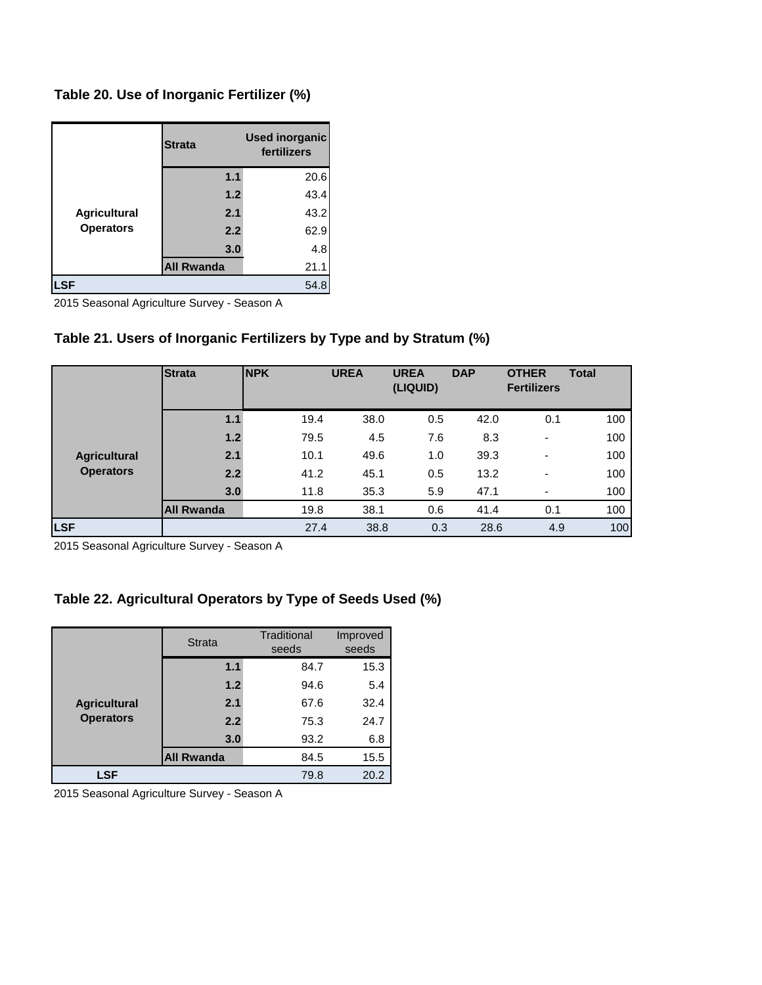### **Table 20. Use of Inorganic Fertilizer (%)**

|                     | <b>Strata</b>     | Used inorganic<br>fertilizers |
|---------------------|-------------------|-------------------------------|
|                     | 1.1               | 20.6                          |
|                     | 1.2               | 43.4                          |
| <b>Agricultural</b> | 2.1               | 43.2                          |
| <b>Operators</b>    | 2.2               | 62.9                          |
|                     | 3.0               | 4.8                           |
|                     | <b>All Rwanda</b> | 21.1                          |
| <b>LSF</b>          |                   | 54.8                          |

2015 Seasonal Agriculture Survey - Season A

# **Table 21. Users of Inorganic Fertilizers by Type and by Stratum (%)**

|                     | <b>Strata</b>     | <b>INPK</b> | <b>UREA</b> | <b>UREA</b><br>(LIQUID) | <b>DAP</b> | <b>OTHER</b><br><b>Fertilizers</b> | <b>Total</b> |
|---------------------|-------------------|-------------|-------------|-------------------------|------------|------------------------------------|--------------|
|                     | 1.1               | 19.4        | 38.0        | 0.5                     | 42.0       | 0.1                                | 100          |
|                     | 1.2               | 79.5        | 4.5         | 7.6                     | 8.3        | $\overline{\phantom{0}}$           | 100          |
| <b>Agricultural</b> | 2.1               | 10.1        | 49.6        | 1.0                     | 39.3       | $\overline{\phantom{0}}$           | 100          |
| <b>Operators</b>    | 2.2               | 41.2        | 45.1        | 0.5                     | 13.2       | $\overline{\phantom{0}}$           | 100          |
|                     | 3.0               | 11.8        | 35.3        | 5.9                     | 47.1       | ٠                                  | 100          |
|                     | <b>All Rwanda</b> | 19.8        | 38.1        | 0.6                     | 41.4       | 0.1                                | 100          |
| <b>LSF</b>          |                   | 27.4        | 38.8        | 0.3                     | 28.6       | 4.9                                | 100          |

2015 Seasonal Agriculture Survey - Season A

# **Table 22. Agricultural Operators by Type of Seeds Used (%)**

|                     | <b>Strata</b>     | Traditional<br>seeds | Improved<br>seeds |
|---------------------|-------------------|----------------------|-------------------|
|                     | 1.1               | 84.7                 | 15.3              |
|                     | 1.2               | 94.6                 | 5.4               |
| <b>Agricultural</b> | 2.1               | 67.6                 | 32.4              |
| <b>Operators</b>    | 2.2               | 75.3                 | 24.7              |
|                     | 3.0               | 93.2                 | 6.8               |
|                     | <b>All Rwanda</b> | 84.5                 | 15.5              |
| <b>LSF</b>          |                   | 79.8                 | 20.2              |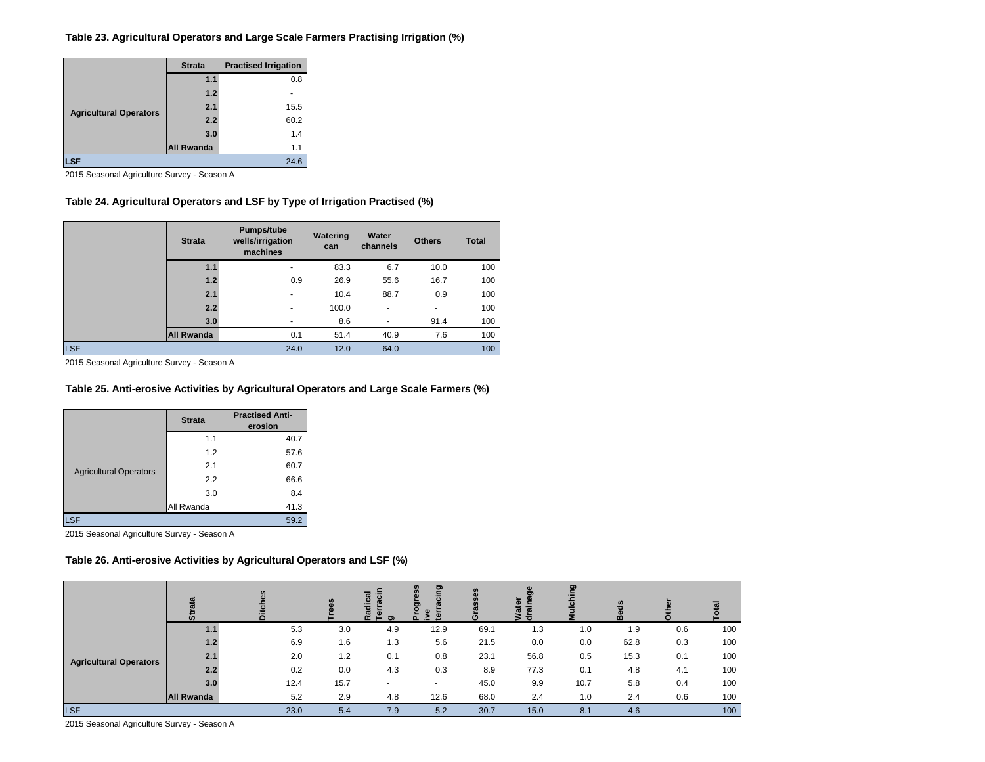#### **Table 23. Agricultural Operators and Large Scale Farmers Practising Irrigation (%)**

|                               | <b>Strata</b>     | <b>Practised Irrigation</b> |
|-------------------------------|-------------------|-----------------------------|
| <b>Agricultural Operators</b> | 1.1               | 0.8                         |
|                               | 1.2               |                             |
|                               | 2.1               | 15.5                        |
|                               | 2.2               | 60.2                        |
|                               | 3.0               | 1.4                         |
|                               | <b>All Rwanda</b> | 1.1                         |
| <b>LSF</b>                    |                   | 24.6                        |

2015 Seasonal Agriculture Survey - Season A

#### **Table 24. Agricultural Operators and LSF by Type of Irrigation Practised (%)**

|            | <b>Strata</b>     | Pumps/tube<br>wells/irrigation<br>machines | Watering<br>can | Water<br>channels        | <b>Others</b> | <b>Total</b> |
|------------|-------------------|--------------------------------------------|-----------------|--------------------------|---------------|--------------|
|            | 1.1               | ۰                                          | 83.3            | 6.7                      | 10.0          | 100          |
|            | 1.2               | 0.9                                        | 26.9            | 55.6                     | 16.7          | 100          |
|            | 2.1               | ٠                                          | 10.4            | 88.7                     | 0.9           | 100          |
|            | 2.2               | ٠                                          | 100.0           | $\overline{\phantom{a}}$ | -             | 100          |
|            | 3.0               | ۰                                          | 8.6             | $\overline{\phantom{a}}$ | 91.4          | 100          |
|            | <b>All Rwanda</b> | 0.1                                        | 51.4            | 40.9                     | 7.6           | 100          |
| <b>LSF</b> |                   | 24.0                                       | 12.0            | 64.0                     |               | 100          |

2015 Seasonal Agriculture Survey - Season A

#### **Table 25. Anti-erosive Activities by Agricultural Operators and Large Scale Farmers (%)**

|                               | <b>Strata</b> | <b>Practised Anti-</b><br>erosion |
|-------------------------------|---------------|-----------------------------------|
|                               | 1.1           | 40.7                              |
|                               | 1.2           | 57.6                              |
| <b>Agricultural Operators</b> | 2.1           | 60.7                              |
|                               | 2.2           | 66.6                              |
|                               | 3.0           | 8.4                               |
|                               | All Rwanda    | 41.3                              |
| <b>LSF</b>                    |               | 59.2                              |

2015 Seasonal Agriculture Survey - Season A

#### **Table 26. Anti-erosive Activities by Agricultural Operators and LSF (%)**

|                               |                   |      |      | $\overline{\mathbf{c}}$<br>ರ<br>ō | ರಾ<br>ත                  |      |      | ಠಾ   |      |     |     |
|-------------------------------|-------------------|------|------|-----------------------------------|--------------------------|------|------|------|------|-----|-----|
|                               | 1.1               | 5.3  | 3.0  | 4.9                               | 12.9                     | 69.1 | 1.3  | 1.0  | 1.9  | 0.6 | 100 |
|                               | 1.2               | 6.9  | 1.6  | 1.3                               | 5.6                      | 21.5 | 0.0  | 0.0  | 62.8 | 0.3 | 100 |
| <b>Agricultural Operators</b> | 2.1               | 2.0  | 1.2  | 0.1                               | 0.8                      | 23.1 | 56.8 | 0.5  | 15.3 | 0.1 | 100 |
|                               | 2.2               | 0.2  | 0.0  | 4.3                               | 0.3                      | 8.9  | 77.3 | 0.1  | 4.8  | 4.1 | 100 |
|                               | 3.0               | 12.4 | 15.7 |                                   | $\overline{\phantom{a}}$ | 45.0 | 9.9  | 10.7 | 5.8  | 0.4 | 100 |
|                               | <b>All Rwanda</b> | 5.2  | 2.9  | 4.8                               | 12.6                     | 68.0 | 2.4  | 1.0  | 2.4  | 0.6 | 100 |
| <b>LSF</b>                    |                   | 23.0 | 5.4  | 7.9                               | 5.2                      | 30.7 | 15.0 | 8.1  | 4.6  |     | 100 |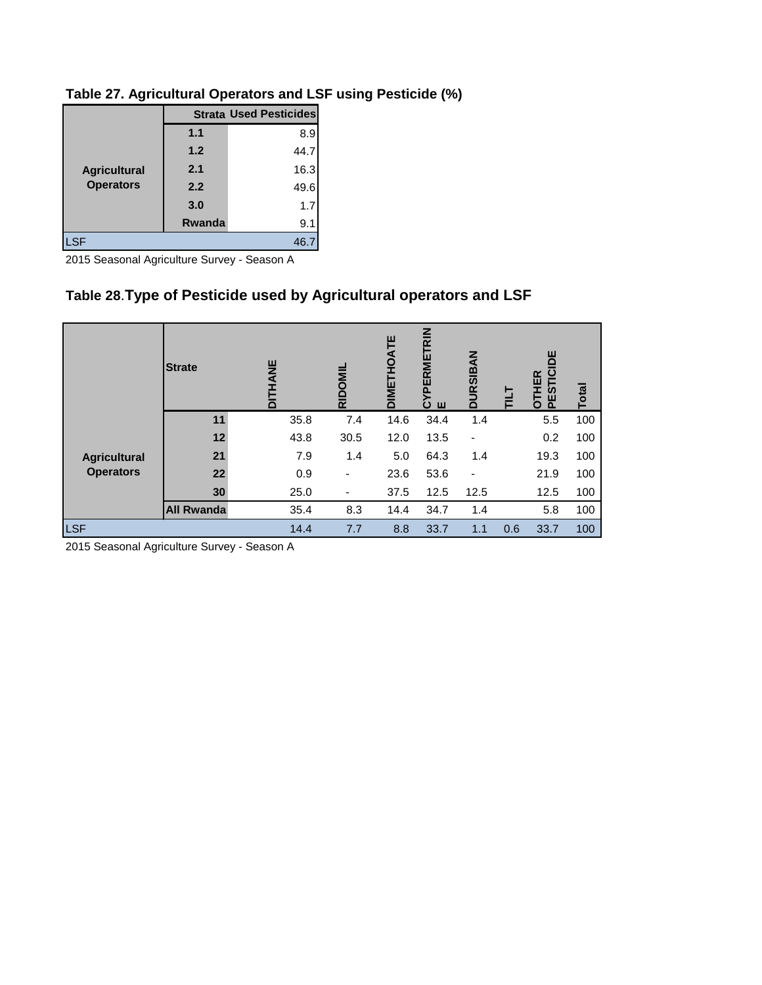|                     |               | <b>Strata Used Pesticides</b> |
|---------------------|---------------|-------------------------------|
|                     | 1.1           | 8.9                           |
|                     | 1.2           | 44.7                          |
| <b>Agricultural</b> | 2.1           | 16.3                          |
| <b>Operators</b>    | 2.2           | 49.6                          |
|                     | 3.0           | 1.7                           |
|                     | <b>Rwanda</b> | 9.1                           |
| <b>LSF</b>          |               | 46.7                          |
|                     |               |                               |

## **Table 27. Agricultural Operators and LSF using Pesticide (%)**

2015 Seasonal Agriculture Survey - Season A

# **Table 28**.**Type of Pesticide used by Agricultural operators and LSF**

|                     | <b>Strate</b>     | <b>ANE</b> | RIDOMIL | <b>DIMETHOATE</b> | <b>CYPERMETRIN<br/>E</b> | <b>DURSIBAN</b> | ⊢<br>ᆜ | ш<br>ESTIC<br>HER | <b>Total</b> |
|---------------------|-------------------|------------|---------|-------------------|--------------------------|-----------------|--------|-------------------|--------------|
|                     | 11                | 35.8       | 7.4     | 14.6              | 34.4                     | 1.4             |        | 5.5               | 100          |
|                     | 12                | 43.8       | 30.5    | 12.0              | 13.5                     | $\blacksquare$  |        | 0.2               | 100          |
| <b>Agricultural</b> | 21                | 7.9        | 1.4     | 5.0               | 64.3                     | 1.4             |        | 19.3              | 100          |
| <b>Operators</b>    | 22                | 0.9        | -       | 23.6              | 53.6                     | ۰               |        | 21.9              | 100          |
|                     | 30                | 25.0       | -       | 37.5              | 12.5                     | 12.5            |        | 12.5              | 100          |
|                     | <b>All Rwanda</b> | 35.4       | 8.3     | 14.4              | 34.7                     | 1.4             |        | 5.8               | 100          |
| <b>LSF</b>          |                   | 14.4       | 7.7     | 8.8               | 33.7                     | 1.1             | 0.6    | 33.7              | 100          |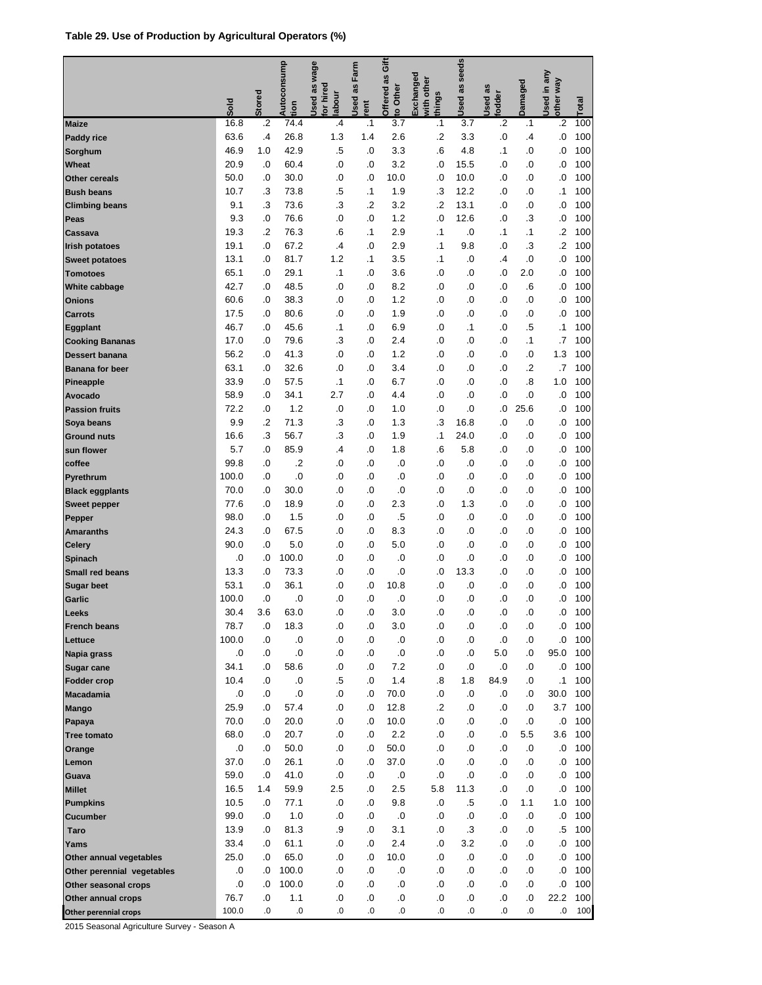#### **Table 29. Use of Production by Agricultural Operators (%)**

|                               |              |               | Autoconsump  | Used as wage       | Used as Farm         | Gift<br>Offered as             | Exchanged<br>with other | Used as seeds |                   | Damaged   | Used in any<br>other way |            |
|-------------------------------|--------------|---------------|--------------|--------------------|----------------------|--------------------------------|-------------------------|---------------|-------------------|-----------|--------------------------|------------|
|                               | Sold         | <b>Stored</b> | tion         | or hired<br>labour | rent                 | to Other                       | things                  |               | Used as<br>fodder |           |                          | Total      |
| <b>Maize</b>                  | 16.8         | .2            | 74.4         | .4                 | $\cdot$ 1            | 3.7                            | .1                      | 3.7           | .2                | $\cdot$ 1 | .2                       | 100        |
| <b>Paddy rice</b>             | 63.6         | .4            | 26.8         | 1.3                | 1.4                  | 2.6                            | .2                      | 3.3           | .0                | $\cdot$   | .0                       | 100        |
| Sorghum                       | 46.9         | 1.0           | 42.9         | .5                 | .0                   | 3.3                            | .6                      | 4.8           | $\cdot$ 1         | .0        | .0                       | 100        |
| Wheat                         | 20.9         | .0            | 60.4         | .0                 | .0                   | 3.2                            | .0                      | 15.5          | .0                | .0        | .0                       | 100        |
| <b>Other cereals</b>          | 50.0         | .0            | 30.0         | .0                 | .0                   | 10.0                           | .0                      | 10.0          | .0                | .0        | .0                       | 100        |
| <b>Bush beans</b>             | 10.7<br>9.1  | .3<br>.3      | 73.8<br>73.6 | .5<br>.3           | $\cdot$ 1<br>$\cdot$ | 1.9<br>3.2                     | .3<br>$\overline{2}$    | 12.2<br>13.1  | .0<br>.0          | .0<br>.0  | $\cdot$ 1<br>.0          | 100<br>100 |
| <b>Climbing beans</b>         | 9.3          | .0            | 76.6         | .0                 | .0                   | 1.2                            | .0                      | 12.6          | .0                | .3        | .0                       | 100        |
| Peas<br>Cassava               | 19.3         | .2            | 76.3         | .6                 | $\cdot$ 1            | 2.9                            | $\cdot$ 1               | .0            | $\cdot$ 1         | $\cdot$ 1 | $\cdot$                  | 100        |
| <b>Irish potatoes</b>         | 19.1         | .0            | 67.2         | $\overline{A}$     | .0                   | 2.9                            | .1                      | 9.8           | .0                | .3        | $\cdot$                  | 100        |
| <b>Sweet potatoes</b>         | 13.1         | .0            | 81.7         | 1.2                | $\cdot$ 1            | 3.5                            | $\cdot$ 1               | .0            | $\cdot$           | .0        | .0                       | 100        |
| <b>Tomotoes</b>               | 65.1         | .0            | 29.1         | $\cdot$ 1          | 0.                   | 3.6                            | .0                      | .0            | .0                | 2.0       | .0                       | 100        |
| White cabbage                 | 42.7         | .0            | 48.5         | .0                 | .0                   | 8.2                            | .0                      | .0            | .0                | .6        | .0                       | 100        |
| <b>Onions</b>                 | 60.6         | .0            | 38.3         | .0                 | .0                   | 1.2                            | .0                      | .0            | .0                | .0        | .0                       | 100        |
| <b>Carrots</b>                | 17.5         | .0            | 80.6         | .0                 | .0                   | 1.9                            | .0                      | .0            | .0                | .0        | .0                       | 100        |
| Eggplant                      | 46.7         | .0            | 45.6         | $\cdot$ 1          | .0                   | 6.9                            | .0                      | $\cdot$ 1     | .0                | .5        | $\cdot$ 1                | 100        |
| <b>Cooking Bananas</b>        | 17.0         | .0            | 79.6         | .3                 | .0                   | 2.4                            | .0                      | .0            | .0                | $\cdot$ 1 | .7                       | 100        |
| <b>Dessert banana</b>         | 56.2         | .0            | 41.3         | .0                 | .0                   | 1.2                            | .0                      | .0            | .0                | .0        | 1.3                      | 100        |
| <b>Banana for beer</b>        | 63.1         | .0            | 32.6         | .0                 | .0                   | 3.4                            | .0                      | .0            | .0                | .2        | .7                       | 100        |
| Pineapple                     | 33.9         | .0            | 57.5         | .1                 | .0                   | 6.7                            | .0                      | .0            | .0                | .8        | 1.0                      | 100        |
| Avocado                       | 58.9         | .0            | 34.1         | 2.7                | .0                   | 4.4                            | .0                      | .0            | .0                | .0        | .0                       | 100        |
| <b>Passion fruits</b>         | 72.2         | .0            | 1.2          | 0.                 | .0                   | 1.0                            | .0                      | .0            | .0                | 25.6      | .0                       | 100        |
| Soya beans                    | 9.9          | $\cdot$       | 71.3         | .3                 | .0                   | 1.3                            | .3                      | 16.8          | .0                | .0        | .0                       | 100        |
| <b>Ground nuts</b>            | 16.6         | .3            | 56.7         | .3                 | 0.                   | 1.9                            | $\cdot$ 1               | 24.0          | .0                | .0        | .0                       | 100        |
| sun flower                    | 5.7          | .0            | 85.9         | .4                 | .0                   | 1.8                            | .6                      | 5.8           | .0                | .0        | .0                       | 100        |
| coffee                        | 99.8         | .0            | $\cdot$      | .0                 | .0                   | .0                             | .0                      | .0            | .0                | .0        | .0                       | 100        |
| Pyrethrum                     | 100.0        | .0            | $\cdot 0$    | .0                 | .0                   | 0.                             | .0                      | .0            | .0                | .0        | .0                       | 100        |
| <b>Black eggplants</b>        | 70.0<br>77.6 | .0<br>.0      | 30.0<br>18.9 | .0<br>.0           | .0<br>.0             | $\overline{\mathbf{0}}$<br>2.3 | .0<br>.0                | .0<br>1.3     | .0<br>.0          | .0<br>.0  | .0<br>.0                 | 100<br>100 |
| <b>Sweet pepper</b><br>Pepper | 98.0         | .0            | 1.5          | .0                 | .0                   | $.5\,$                         | .0                      | .0            | .0                | .0        | .0                       | 100        |
| <b>Amaranths</b>              | 24.3         | .0            | 67.5         | .0                 | .0                   | 8.3                            | .0                      | .0            | .0                | .0        | .0                       | 100        |
| <b>Celery</b>                 | 90.0         | .0            | 5.0          | .0                 | .0                   | 5.0                            | .0                      | .0            | .0                | .0        | .0                       | 100        |
| Spinach                       | .0           | .0            | 100.0        | .0                 | .0                   | 0.                             | .0                      | .0            | .0                | .0        | .0                       | 100        |
| <b>Small red beans</b>        | 13.3         | .0            | 73.3         | .0                 | .0                   | 0.                             | .0                      | 13.3          | .0                | .0        | .0                       | 100        |
| <b>Sugar beet</b>             | 53.1         | .0            | 36.1         | .0                 | .0                   | 10.8                           | .0                      | .0            | .0                | .0        | .0                       | 100        |
| Garlic                        | 100.0        | 0.            | .0           | 0.                 | .0                   | 0.                             | $\overline{0}$          | .0            | .0                | .0        | .0                       | 100        |
| Leeks                         | 30.4         | 3.6           | 63.0         | 0.                 | $\overline{0}$       | 3.0                            | 0.                      | .0            | 0                 | 0         | $\overline{0}$           | 100        |
| <b>French beans</b>           | 78.7         | .0            | 18.3         | .0                 | .0                   | 3.0                            | .0                      | .0            | .0                | .0        | .0                       | 100        |
| Lettuce                       | 100.0        | .0            | 0.           | .0                 | .0                   | $\cdot 0$                      | 0.                      | .0            | $\cdot$ 0         | $\cdot 0$ | .0                       | 100        |
| Napia grass                   | .0           | .0            | .0           | .0                 | .0                   | 0.                             | 0.                      | .0            | 5.0               | .0        | 95.0                     | 100        |
| <b>Sugar cane</b>             | 34.1         | .0            | 58.6         | .0                 | .0                   | 7.2                            | 0.                      | .0            | .0                | .0        | .0                       | 100        |
| <b>Fodder crop</b>            | 10.4         | .0            | .0           | .5                 | .0                   | 1.4                            | .8                      | 1.8           | 84.9              | $\cdot$ 0 | .1                       | 100        |
| <b>Macadamia</b>              | .0           | .0            | .0           | .0                 | .0                   | 70.0                           | 0.                      | .0            | .0                | .0        | 30.0                     | 100        |
| <b>Mango</b>                  | 25.9         | .0            | 57.4         | .0                 | .0                   | 12.8                           | .2                      | .0            | .0                | .0        | 3.7                      | 100        |
| Papaya                        | 70.0         | .0            | 20.0         | .0                 | .0                   | 10.0                           | .0                      | .0            | .0                | .0        | .0                       | 100        |
| <b>Tree tomato</b>            | 68.0         | .0            | 20.7         | .0                 | .0                   | 2.2                            | 0.                      | .0            | .0                | 5.5       | 3.6                      | 100        |
| Orange                        | .0           | .0            | 50.0         | .0                 | .0                   | 50.0                           | 0.                      | .0            | .0                | .0        | .0                       | 100        |
| Lemon                         | 37.0<br>59.0 | .0<br>.0      | 26.1<br>41.0 | .0<br>.0           | .0                   | 37.0<br>0.                     | 0.<br>0.                | .0<br>.0      | $.0 \,$           | .0<br>.0  | .0<br>.0                 | 100<br>100 |
| Guava<br><b>Millet</b>        | 16.5         | 1.4           | 59.9         | 2.5                | .0<br>.0             | 2.5                            | 5.8                     | 11.3          | .0<br>.0          | .0        | .0                       | 100        |
| <b>Pumpkins</b>               | 10.5         | 0.            | 77.1         | .0                 | .0                   | 9.8                            | 0.                      | $.5\,$        | .0                | 1.1       | 1.0                      | 100        |
| <b>Cucumber</b>               | 99.0         | .0            | 1.0          | .0                 | .0                   | 0.                             | 0.                      | 0.            | .0                | .0        | .0                       | 100        |
| Taro                          | 13.9         | .0            | 81.3         | .9                 | .0                   | 3.1                            | 0.                      | .3            | .0                | $\cdot 0$ | .5                       | 100        |
| Yams                          | 33.4         | .0            | 61.1         | .0                 | .0                   | 2.4                            | 0.                      | 3.2           | .0                | .0        | .0                       | 100        |
| Other annual vegetables       | 25.0         | .0            | 65.0         | .0                 | .0                   | 10.0                           | .0                      | .0            | .0                | .0        | .0                       | 100        |
| Other perennial vegetables    | .0           | .0            | 100.0        | .0                 | .0                   | .0                             | 0.                      | .0            | .0                | 0.        | .0                       | 100        |
| Other seasonal crops          | 0.           | .0            | 100.0        | .0                 | .0                   | .0                             | 0.                      | .0            | $.0 \,$           | .0        | 0.                       | 100        |
| Other annual crops            | 76.7         | .0            | 1.1          | .0                 | .0                   | .0                             | 0.                      | .0            | .0                | .0        | 22.2                     | 100        |
| Other perennial crops         | 100.0        | .0            | .0           | 0.                 | .0                   | .0                             | .0                      | .0            | .0                | .0        | 0.                       | 100        |